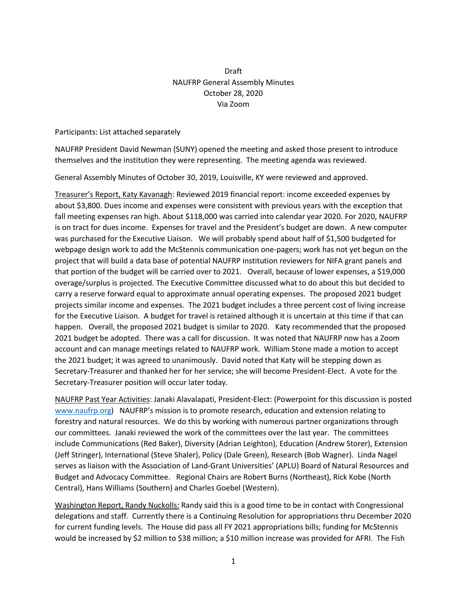## Draft NAUFRP General Assembly Minutes October 28, 2020 Via Zoom

Participants: List attached separately

NAUFRP President David Newman (SUNY) opened the meeting and asked those present to introduce themselves and the institution they were representing. The meeting agenda was reviewed.

General Assembly Minutes of October 30, 2019, Louisville, KY were reviewed and approved.

Treasurer's Report, Katy Kavanagh: Reviewed 2019 financial report: income exceeded expenses by about \$3,800. Dues income and expenses were consistent with previous years with the exception that fall meeting expenses ran high. About \$118,000 was carried into calendar year 2020. For 2020, NAUFRP is on tract for dues income. Expenses for travel and the President's budget are down. A new computer was purchased for the Executive Liaison. We will probably spend about half of \$1,500 budgeted for webpage design work to add the McStennis communication one-pagers; work has not yet begun on the project that will build a data base of potential NAUFRP institution reviewers for NIFA grant panels and that portion of the budget will be carried over to 2021. Overall, because of lower expenses, a \$19,000 overage/surplus is projected. The Executive Committee discussed what to do about this but decided to carry a reserve forward equal to approximate annual operating expenses. The proposed 2021 budget projects similar income and expenses. The 2021 budget includes a three percent cost of living increase for the Executive Liaison. A budget for travel is retained although it is uncertain at this time if that can happen. Overall, the proposed 2021 budget is similar to 2020. Katy recommended that the proposed 2021 budget be adopted. There was a call for discussion. It was noted that NAUFRP now has a Zoom account and can manage meetings related to NAUFRP work. William Stone made a motion to accept the 2021 budget; it was agreed to unanimously. David noted that Katy will be stepping down as Secretary-Treasurer and thanked her for her service; she will become President-Elect. A vote for the Secretary-Treasurer position will occur later today.

NAUFRP Past Year Activities: Janaki Alavalapati, President-Elect: (Powerpoint for this discussion is posted [www.naufrp.org\)](http://www.naufrp.org/) NAUFRP's mission is to promote research, education and extension relating to forestry and natural resources. We do this by working with numerous partner organizations through our committees. Janaki reviewed the work of the committees over the last year. The committees include Communications (Red Baker), Diversity (Adrian Leighton), Education (Andrew Storer), Extension (Jeff Stringer), International (Steve Shaler), Policy (Dale Green), Research (Bob Wagner). Linda Nagel serves as liaison with the Association of Land-Grant Universities' (APLU) Board of Natural Resources and Budget and Advocacy Committee. Regional Chairs are Robert Burns (Northeast), Rick Kobe (North Central), Hans Williams (Southern) and Charles Goebel (Western).

Washington Report, Randy Nuckolls: Randy said this is a good time to be in contact with Congressional delegations and staff. Currently there is a Continuing Resolution for appropriations thru December 2020 for current funding levels. The House did pass all FY 2021 appropriations bills; funding for McStennis would be increased by \$2 million to \$38 million; a \$10 million increase was provided for AFRI. The Fish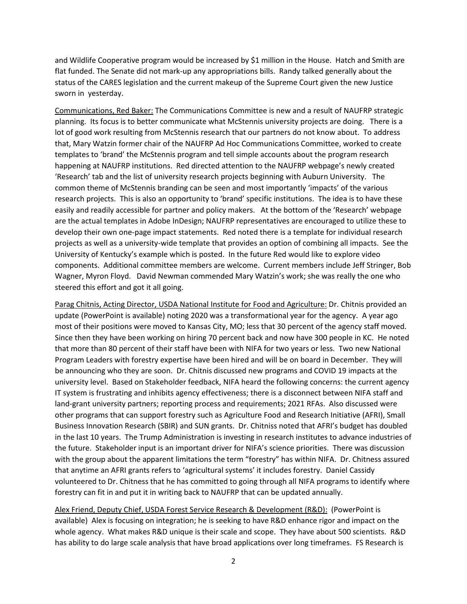and Wildlife Cooperative program would be increased by \$1 million in the House. Hatch and Smith are flat funded. The Senate did not mark-up any appropriations bills. Randy talked generally about the status of the CARES legislation and the current makeup of the Supreme Court given the new Justice sworn in yesterday.

Communications, Red Baker: The Communications Committee is new and a result of NAUFRP strategic planning. Its focus is to better communicate what McStennis university projects are doing. There is a lot of good work resulting from McStennis research that our partners do not know about. To address that, Mary Watzin former chair of the NAUFRP Ad Hoc Communications Committee, worked to create templates to 'brand' the McStennis program and tell simple accounts about the program research happening at NAUFRP institutions. Red directed attention to the NAUFRP webpage's newly created 'Research' tab and the list of university research projects beginning with Auburn University. The common theme of McStennis branding can be seen and most importantly 'impacts' of the various research projects. This is also an opportunity to 'brand' specific institutions. The idea is to have these easily and readily accessible for partner and policy makers. At the bottom of the 'Research' webpage are the actual templates in Adobe InDesign; NAUFRP representatives are encouraged to utilize these to develop their own one-page impact statements. Red noted there is a template for individual research projects as well as a university-wide template that provides an option of combining all impacts. See the University of Kentucky's example which is posted. In the future Red would like to explore video components. Additional committee members are welcome. Current members include Jeff Stringer, Bob Wagner, Myron Floyd. David Newman commended Mary Watzin's work; she was really the one who steered this effort and got it all going.

Parag Chitnis, Acting Director, USDA National Institute for Food and Agriculture: Dr. Chitnis provided an update (PowerPoint is available) noting 2020 was a transformational year for the agency. A year ago most of their positions were moved to Kansas City, MO; less that 30 percent of the agency staff moved. Since then they have been working on hiring 70 percent back and now have 300 people in KC. He noted that more than 80 percent of their staff have been with NIFA for two years or less. Two new National Program Leaders with forestry expertise have been hired and will be on board in December. They will be announcing who they are soon. Dr. Chitnis discussed new programs and COVID 19 impacts at the university level. Based on Stakeholder feedback, NIFA heard the following concerns: the current agency IT system is frustrating and inhibits agency effectiveness; there is a disconnect between NIFA staff and land-grant university partners; reporting process and requirements; 2021 RFAs. Also discussed were other programs that can support forestry such as Agriculture Food and Research Initiative (AFRI), Small Business Innovation Research (SBIR) and SUN grants. Dr. Chitniss noted that AFRI's budget has doubled in the last 10 years. The Trump Administration is investing in research institutes to advance industries of the future. Stakeholder input is an important driver for NIFA's science priorities. There was discussion with the group about the apparent limitations the term "forestry" has within NIFA. Dr. Chitness assured that anytime an AFRI grants refers to 'agricultural systems' it includes forestry. Daniel Cassidy volunteered to Dr. Chitness that he has committed to going through all NIFA programs to identify where forestry can fit in and put it in writing back to NAUFRP that can be updated annually.

Alex Friend, Deputy Chief, USDA Forest Service Research & Development (R&D): (PowerPoint is available) Alex is focusing on integration; he is seeking to have R&D enhance rigor and impact on the whole agency. What makes R&D unique is their scale and scope. They have about 500 scientists. R&D has ability to do large scale analysis that have broad applications over long timeframes. FS Research is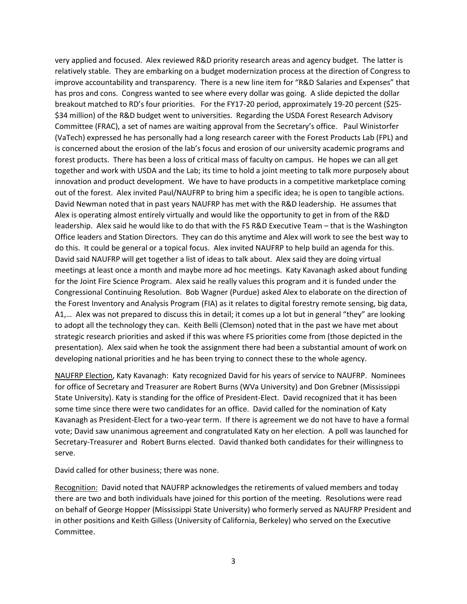very applied and focused. Alex reviewed R&D priority research areas and agency budget. The latter is relatively stable. They are embarking on a budget modernization process at the direction of Congress to improve accountability and transparency. There is a new line item for "R&D Salaries and Expenses" that has pros and cons. Congress wanted to see where every dollar was going. A slide depicted the dollar breakout matched to RD's four priorities. For the FY17-20 period, approximately 19-20 percent (\$25- \$34 million) of the R&D budget went to universities. Regarding the USDA Forest Research Advisory Committee (FRAC), a set of names are waiting approval from the Secretary's office. Paul Winistorfer (VaTech) expressed he has personally had a long research career with the Forest Products Lab (FPL) and is concerned about the erosion of the lab's focus and erosion of our university academic programs and forest products. There has been a loss of critical mass of faculty on campus. He hopes we can all get together and work with USDA and the Lab; its time to hold a joint meeting to talk more purposely about innovation and product development. We have to have products in a competitive marketplace coming out of the forest. Alex invited Paul/NAUFRP to bring him a specific idea; he is open to tangible actions. David Newman noted that in past years NAUFRP has met with the R&D leadership. He assumes that Alex is operating almost entirely virtually and would like the opportunity to get in from of the R&D leadership. Alex said he would like to do that with the FS R&D Executive Team – that is the Washington Office leaders and Station Directors. They can do this anytime and Alex will work to see the best way to do this. It could be general or a topical focus. Alex invited NAUFRP to help build an agenda for this. David said NAUFRP will get together a list of ideas to talk about. Alex said they are doing virtual meetings at least once a month and maybe more ad hoc meetings. Katy Kavanagh asked about funding for the Joint Fire Science Program. Alex said he really values this program and it is funded under the Congressional Continuing Resolution. Bob Wagner (Purdue) asked Alex to elaborate on the direction of the Forest Inventory and Analysis Program (FIA) as it relates to digital forestry remote sensing, big data, A1,… Alex was not prepared to discuss this in detail; it comes up a lot but in general "they" are looking to adopt all the technology they can. Keith Belli (Clemson) noted that in the past we have met about strategic research priorities and asked if this was where FS priorities come from (those depicted in the presentation). Alex said when he took the assignment there had been a substantial amount of work on developing national priorities and he has been trying to connect these to the whole agency.

NAUFRP Election, Katy Kavanagh: Katy recognized David for his years of service to NAUFRP. Nominees for office of Secretary and Treasurer are Robert Burns (WVa University) and Don Grebner (Mississippi State University). Katy is standing for the office of President-Elect. David recognized that it has been some time since there were two candidates for an office. David called for the nomination of Katy Kavanagh as President-Elect for a two-year term. If there is agreement we do not have to have a formal vote; David saw unanimous agreement and congratulated Katy on her election. A poll was launched for Secretary-Treasurer and Robert Burns elected. David thanked both candidates for their willingness to serve.

David called for other business; there was none.

Recognition: David noted that NAUFRP acknowledges the retirements of valued members and today there are two and both individuals have joined for this portion of the meeting. Resolutions were read on behalf of George Hopper (Mississippi State University) who formerly served as NAUFRP President and in other positions and Keith Gilless (University of California, Berkeley) who served on the Executive Committee.